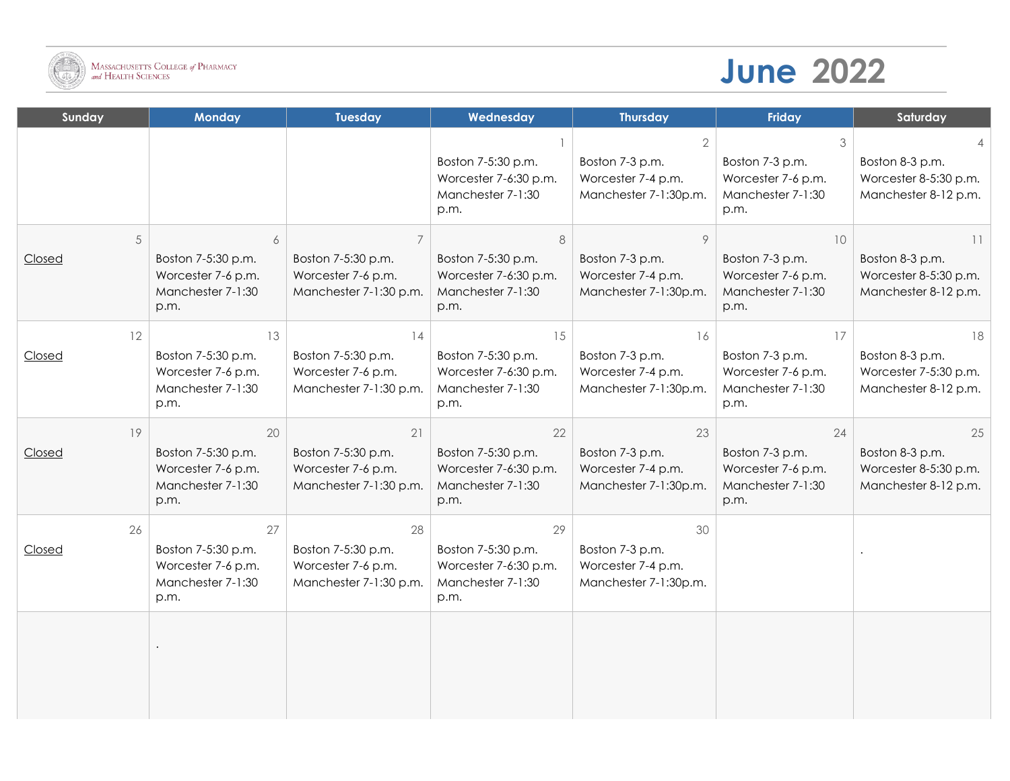

## **June 2022**

| Sunday       | <b>Monday</b>                                                               | <b>Tuesday</b>                                                           | Wednesday                                                                      | <b>Thursday</b>                                                      | <b>Friday</b>                                                            | Saturday                                                               |
|--------------|-----------------------------------------------------------------------------|--------------------------------------------------------------------------|--------------------------------------------------------------------------------|----------------------------------------------------------------------|--------------------------------------------------------------------------|------------------------------------------------------------------------|
|              |                                                                             |                                                                          | Boston 7-5:30 p.m.<br>Worcester 7-6:30 p.m.<br>Manchester 7-1:30<br>p.m.       | 2<br>Boston 7-3 p.m.<br>Worcester 7-4 p.m.<br>Manchester 7-1:30p.m.  | 3<br>Boston 7-3 p.m.<br>Worcester 7-6 p.m.<br>Manchester 7-1:30<br>p.m.  | Boston 8-3 p.m.<br>Worcester 8-5:30 p.m.<br>Manchester 8-12 p.m.       |
| 5<br>Closed  | 6<br>Boston 7-5:30 p.m.<br>Worcester 7-6 p.m.<br>Manchester 7-1:30<br>p.m.  | Boston 7-5:30 p.m.<br>Worcester 7-6 p.m.<br>Manchester 7-1:30 p.m.       | 8<br>Boston 7-5:30 p.m.<br>Worcester 7-6:30 p.m.<br>Manchester 7-1:30<br>p.m.  | 9<br>Boston 7-3 p.m.<br>Worcester 7-4 p.m.<br>Manchester 7-1:30p.m.  | 10<br>Boston 7-3 p.m.<br>Worcester 7-6 p.m.<br>Manchester 7-1:30<br>p.m. | 11<br>Boston 8-3 p.m.<br>Worcester 8-5:30 p.m.<br>Manchester 8-12 p.m. |
| 12<br>Closed | 13<br>Boston 7-5:30 p.m.<br>Worcester 7-6 p.m.<br>Manchester 7-1:30<br>p.m. | 14<br>Boston 7-5:30 p.m.<br>Worcester 7-6 p.m.<br>Manchester 7-1:30 p.m. | 15<br>Boston 7-5:30 p.m.<br>Worcester 7-6:30 p.m.<br>Manchester 7-1:30<br>p.m. | 16<br>Boston 7-3 p.m.<br>Worcester 7-4 p.m.<br>Manchester 7-1:30p.m. | 17<br>Boston 7-3 p.m.<br>Worcester 7-6 p.m.<br>Manchester 7-1:30<br>p.m. | 18<br>Boston 8-3 p.m.<br>Worcester 7-5:30 p.m.<br>Manchester 8-12 p.m. |
| 19<br>Closed | 20<br>Boston 7-5:30 p.m.<br>Worcester 7-6 p.m.<br>Manchester 7-1:30<br>p.m. | 21<br>Boston 7-5:30 p.m.<br>Worcester 7-6 p.m.<br>Manchester 7-1:30 p.m. | 22<br>Boston 7-5:30 p.m.<br>Worcester 7-6:30 p.m.<br>Manchester 7-1:30<br>p.m. | 23<br>Boston 7-3 p.m.<br>Worcester 7-4 p.m.<br>Manchester 7-1:30p.m. | 24<br>Boston 7-3 p.m.<br>Worcester 7-6 p.m.<br>Manchester 7-1:30<br>p.m. | 25<br>Boston 8-3 p.m.<br>Worcester 8-5:30 p.m.<br>Manchester 8-12 p.m. |
| 26<br>Closed | 27<br>Boston 7-5:30 p.m.<br>Worcester 7-6 p.m.<br>Manchester 7-1:30<br>p.m. | 28<br>Boston 7-5:30 p.m.<br>Worcester 7-6 p.m.<br>Manchester 7-1:30 p.m. | 29<br>Boston 7-5:30 p.m.<br>Worcester 7-6:30 p.m.<br>Manchester 7-1:30<br>p.m. | 30<br>Boston 7-3 p.m.<br>Worcester 7-4 p.m.<br>Manchester 7-1:30p.m. |                                                                          |                                                                        |
|              |                                                                             |                                                                          |                                                                                |                                                                      |                                                                          |                                                                        |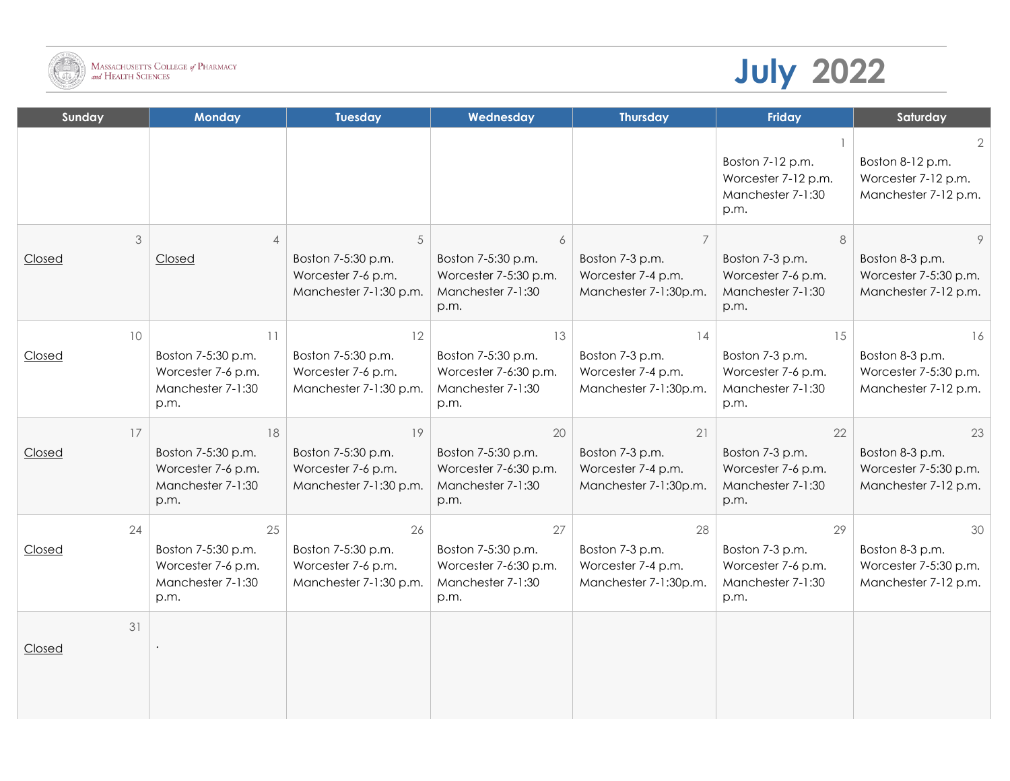

## **July 2022**

| Sunday       | <b>Monday</b>                                                               | <b>Tuesday</b>                                                           | Wednesday                                                                      | <b>Thursday</b>                                                      | Friday                                                                   | Saturday                                                               |
|--------------|-----------------------------------------------------------------------------|--------------------------------------------------------------------------|--------------------------------------------------------------------------------|----------------------------------------------------------------------|--------------------------------------------------------------------------|------------------------------------------------------------------------|
|              |                                                                             |                                                                          |                                                                                |                                                                      | Boston 7-12 p.m.<br>Worcester 7-12 p.m.<br>Manchester 7-1:30<br>p.m.     | 2.<br>Boston 8-12 p.m.<br>Worcester 7-12 p.m.<br>Manchester 7-12 p.m.  |
| 3<br>Closed  | $\overline{4}$<br>Closed                                                    | 5<br>Boston 7-5:30 p.m.<br>Worcester 7-6 p.m.<br>Manchester 7-1:30 p.m.  | 6<br>Boston 7-5:30 p.m.<br>Worcester 7-5:30 p.m.<br>Manchester 7-1:30<br>p.m.  | Boston 7-3 p.m.<br>Worcester 7-4 p.m.<br>Manchester 7-1:30p.m.       | 8<br>Boston 7-3 p.m.<br>Worcester 7-6 p.m.<br>Manchester 7-1:30<br>p.m.  | Boston 8-3 p.m.<br>Worcester 7-5:30 p.m.<br>Manchester 7-12 p.m.       |
| 10<br>Closed | 11<br>Boston 7-5:30 p.m.<br>Worcester 7-6 p.m.<br>Manchester 7-1:30<br>p.m. | 12<br>Boston 7-5:30 p.m.<br>Worcester 7-6 p.m.<br>Manchester 7-1:30 p.m. | 13<br>Boston 7-5:30 p.m.<br>Worcester 7-6:30 p.m.<br>Manchester 7-1:30<br>p.m. | 14<br>Boston 7-3 p.m.<br>Worcester 7-4 p.m.<br>Manchester 7-1:30p.m. | 15<br>Boston 7-3 p.m.<br>Worcester 7-6 p.m.<br>Manchester 7-1:30<br>p.m. | 16<br>Boston 8-3 p.m.<br>Worcester 7-5:30 p.m.<br>Manchester 7-12 p.m. |
| 17<br>Closed | 18<br>Boston 7-5:30 p.m.<br>Worcester 7-6 p.m.<br>Manchester 7-1:30<br>p.m. | 19<br>Boston 7-5:30 p.m.<br>Worcester 7-6 p.m.<br>Manchester 7-1:30 p.m. | 20<br>Boston 7-5:30 p.m.<br>Worcester 7-6:30 p.m.<br>Manchester 7-1:30<br>p.m. | 21<br>Boston 7-3 p.m.<br>Worcester 7-4 p.m.<br>Manchester 7-1:30p.m. | 22<br>Boston 7-3 p.m.<br>Worcester 7-6 p.m.<br>Manchester 7-1:30<br>p.m. | 23<br>Boston 8-3 p.m.<br>Worcester 7-5:30 p.m.<br>Manchester 7-12 p.m. |
| 24<br>Closed | 25<br>Boston 7-5:30 p.m.<br>Worcester 7-6 p.m.<br>Manchester 7-1:30<br>p.m. | 26<br>Boston 7-5:30 p.m.<br>Worcester 7-6 p.m.<br>Manchester 7-1:30 p.m. | 27<br>Boston 7-5:30 p.m.<br>Worcester 7-6:30 p.m.<br>Manchester 7-1:30<br>p.m. | 28<br>Boston 7-3 p.m.<br>Worcester 7-4 p.m.<br>Manchester 7-1:30p.m. | 29<br>Boston 7-3 p.m.<br>Worcester 7-6 p.m.<br>Manchester 7-1:30<br>p.m. | 30<br>Boston 8-3 p.m.<br>Worcester 7-5:30 p.m.<br>Manchester 7-12 p.m. |
| 31<br>Closed |                                                                             |                                                                          |                                                                                |                                                                      |                                                                          |                                                                        |